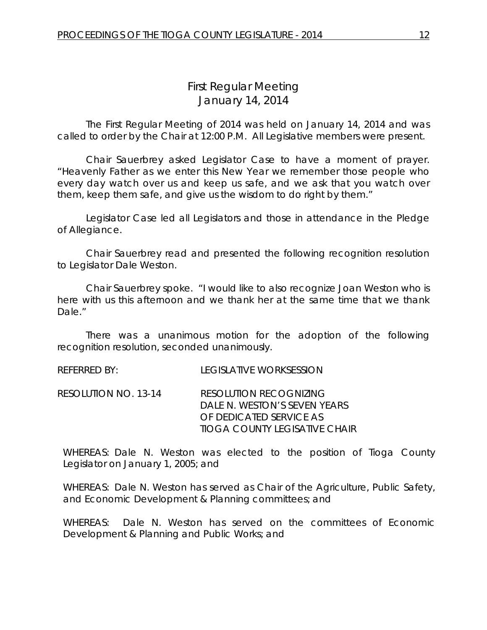# *First Regular Meeting* January 14, 2014

The First Regular Meeting of 2014 was held on January 14, 2014 and was called to order by the Chair at 12:00 P.M. All Legislative members were present.

Chair Sauerbrey asked Legislator Case to have a moment of prayer. "Heavenly Father as we enter this New Year we remember those people who every day watch over us and keep us safe, and we ask that you watch over them, keep them safe, and give us the wisdom to do right by them."

Legislator Case led all Legislators and those in attendance in the Pledge of Allegiance.

Chair Sauerbrey read and presented the following recognition resolution to Legislator Dale Weston.

Chair Sauerbrey spoke. "I would like to also recognize Joan Weston who is here with us this afternoon and we thank her at the same time that we thank Dale."

There was a unanimous motion for the adoption of the following recognition resolution, seconded unanimously.

REFERRED BY: LEGISLATIVE WORKSESSION

RESOLUTION NO. 13-14 *RESOLUTION RECOGNIZING DALE N. WESTON'S SEVEN YEARS OF DEDICATED SERVICE AS TIOGA COUNTY LEGISATIVE CHAIR*

WHEREAS: Dale N. Weston was elected to the position of Tioga County Legislator on January 1, 2005; and

WHEREAS: Dale N. Weston has served as Chair of the Agriculture, Public Safety, and Economic Development & Planning committees; and

WHEREAS: Dale N. Weston has served on the committees of Economic Development & Planning and Public Works; and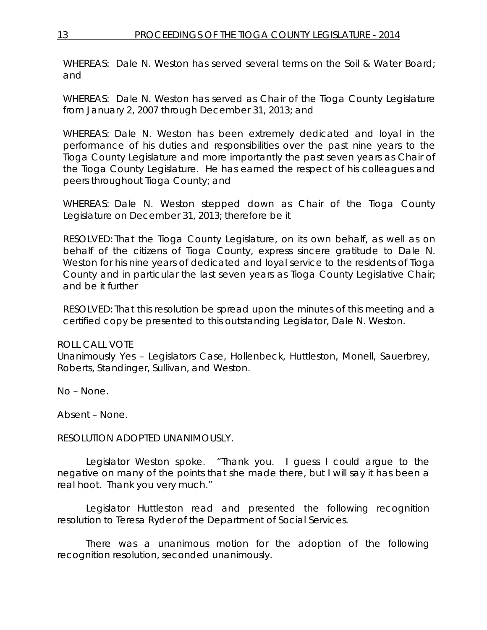WHEREAS: Dale N. Weston has served several terms on the Soil & Water Board; and

WHEREAS: Dale N. Weston has served as Chair of the Tioga County Legislature from January 2, 2007 through December 31, 2013; and

WHEREAS: Dale N. Weston has been extremely dedicated and loyal in the performance of his duties and responsibilities over the past nine years to the Tioga County Legislature and more importantly the past seven years as Chair of the Tioga County Legislature. He has earned the respect of his colleagues and peers throughout Tioga County; and

WHEREAS: Dale N. Weston stepped down as Chair of the Tioga County Legislature on December 31, 2013; therefore be it

RESOLVED: That the Tioga County Legislature, on its own behalf, as well as on behalf of the citizens of Tioga County, express sincere gratitude to Dale N. Weston for his nine years of dedicated and loyal service to the residents of Tioga County and in particular the last seven years as Tioga County Legislative Chair; and be it further

RESOLVED: That this resolution be spread upon the minutes of this meeting and a certified copy be presented to this outstanding Legislator, Dale N. Weston.

### ROLL CALL VOTE

Unanimously Yes – Legislators Case, Hollenbeck, Huttleston, Monell, Sauerbrey, Roberts, Standinger, Sullivan, and Weston.

No – None.

Absent – None.

#### RESOLUTION ADOPTED UNANIMOUSLY.

Legislator Weston spoke. "Thank you. I guess I could argue to the negative on many of the points that she made there, but I will say it has been a real hoot. Thank you very much."

Legislator Huttleston read and presented the following recognition resolution to Teresa Ryder of the Department of Social Services.

There was a unanimous motion for the adoption of the following recognition resolution, seconded unanimously.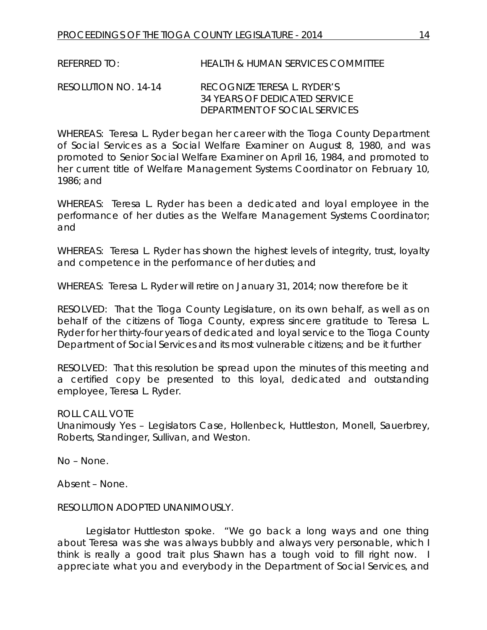REFERRED TO: HEALTH & HUMAN SERVICES COMMITTEE

RESOLUTION NO. 14-14 *RECOGNIZE TERESA L. RYDER'S 34 YEARS OF DEDICATED SERVICE DEPARTMENT OF SOCIAL SERVICES*

WHEREAS: Teresa L. Ryder began her career with the Tioga County Department of Social Services as a Social Welfare Examiner on August 8, 1980, and was promoted to Senior Social Welfare Examiner on April 16, 1984, and promoted to her current title of Welfare Management Systems Coordinator on February 10, 1986; and

WHEREAS: Teresa L. Ryder has been a dedicated and loyal employee in the performance of her duties as the Welfare Management Systems Coordinator; and

WHEREAS: Teresa L. Ryder has shown the highest levels of integrity, trust, loyalty and competence in the performance of her duties; and

WHEREAS: Teresa L. Ryder will retire on January 31, 2014; now therefore be it

RESOLVED:That the Tioga County Legislature, on its own behalf, as well as on behalf of the citizens of Tioga County, express sincere gratitude to Teresa L. Ryder for her thirty-four years of dedicated and loyal service to the Tioga County Department of Social Services and its most vulnerable citizens; and be it further

RESOLVED: That this resolution be spread upon the minutes of this meeting and a certified copy be presented to this loyal, dedicated and outstanding employee, Teresa L. Ryder.

ROLL CALL VOTE

Unanimously Yes – Legislators Case, Hollenbeck, Huttleston, Monell, Sauerbrey, Roberts, Standinger, Sullivan, and Weston.

No – None.

Absent – None.

#### RESOLUTION ADOPTED UNANIMOUSLY.

Legislator Huttleston spoke. "We go back a long ways and one thing about Teresa was she was always bubbly and always very personable, which I think is really a good trait plus Shawn has a tough void to fill right now. I appreciate what you and everybody in the Department of Social Services, and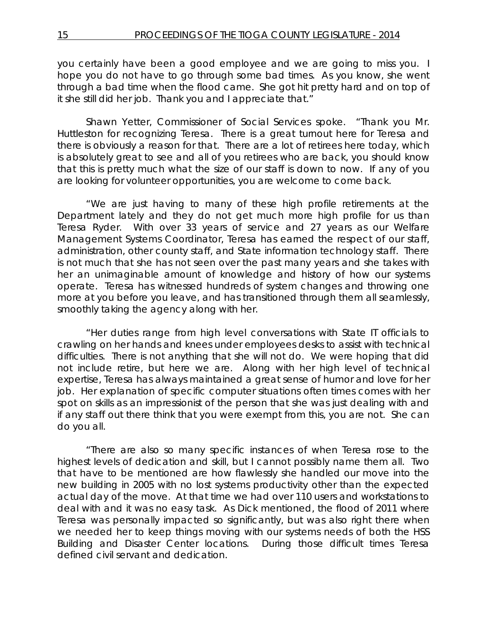you certainly have been a good employee and we are going to miss you. I hope you do not have to go through some bad times. As you know, she went through a bad time when the flood came. She got hit pretty hard and on top of it she still did her job. Thank you and I appreciate that."

Shawn Yetter, Commissioner of Social Services spoke. "Thank you Mr. Huttleston for recognizing Teresa. There is a great turnout here for Teresa and there is obviously a reason for that. There are a lot of retirees here today, which is absolutely great to see and all of you retirees who are back, you should know that this is pretty much what the size of our staff is down to now. If any of you are looking for volunteer opportunities, you are welcome to come back.

"We are just having to many of these high profile retirements at the Department lately and they do not get much more high profile for us than Teresa Ryder. With over 33 years of service and 27 years as our Welfare Management Systems Coordinator, Teresa has earned the respect of our staff, administration, other county staff, and State information technology staff. There is not much that she has not seen over the past many years and she takes with her an unimaginable amount of knowledge and history of how our systems operate. Teresa has witnessed hundreds of system changes and throwing one more at you before you leave, and has transitioned through them all seamlessly, smoothly taking the agency along with her.

"Her duties range from high level conversations with State IT officials to crawling on her hands and knees under employees desks to assist with technical difficulties. There is not anything that she will not do. We were hoping that did not include retire, but here we are. Along with her high level of technical expertise, Teresa has always maintained a great sense of humor and love for her job. Her explanation of specific computer situations often times comes with her spot on skills as an impressionist of the person that she was just dealing with and if any staff out there think that you were exempt from this, you are not. She can do you all.

"There are also so many specific instances of when Teresa rose to the highest levels of dedication and skill, but I cannot possibly name them all. Two that have to be mentioned are how flawlessly she handled our move into the new building in 2005 with no lost systems productivity other than the expected actual day of the move. At that time we had over 110 users and workstations to deal with and it was no easy task. As Dick mentioned, the flood of 2011 where Teresa was personally impacted so significantly, but was also right there when we needed her to keep things moving with our systems needs of both the HSS Building and Disaster Center locations. During those difficult times Teresa defined civil servant and dedication.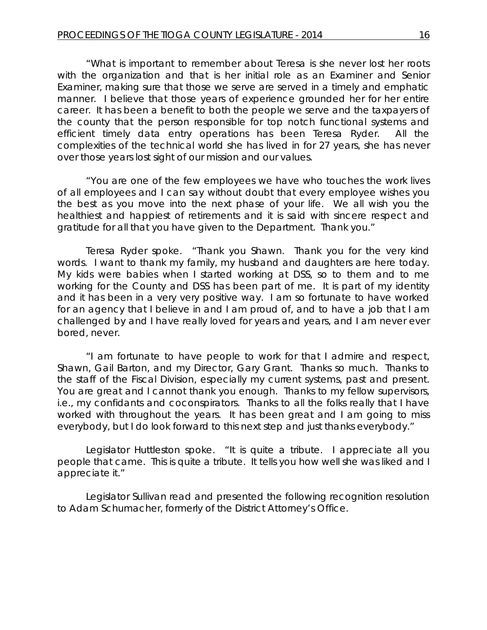"What is important to remember about Teresa is she never lost her roots with the organization and that is her initial role as an Examiner and Senior Examiner, making sure that those we serve are served in a timely and emphatic manner. I believe that those years of experience grounded her for her entire career. It has been a benefit to both the people we serve and the taxpayers of the county that the person responsible for top notch functional systems and efficient timely data entry operations has been Teresa Ryder. All the complexities of the technical world she has lived in for 27 years, she has never over those years lost sight of our mission and our values.

"You are one of the few employees we have who touches the work lives of all employees and I can say without doubt that every employee wishes you the best as you move into the next phase of your life. We all wish you the healthiest and happiest of retirements and it is said with sincere respect and gratitude for all that you have given to the Department. Thank you."

Teresa Ryder spoke. "Thank you Shawn. Thank you for the very kind words. I want to thank my family, my husband and daughters are here today. My kids were babies when I started working at DSS, so to them and to me working for the County and DSS has been part of me. It is part of my identity and it has been in a very very positive way. I am so fortunate to have worked for an agency that I believe in and I am proud of, and to have a job that I am challenged by and I have really loved for years and years, and I am never ever bored, never.

"I am fortunate to have people to work for that I admire and respect, Shawn, Gail Barton, and my Director, Gary Grant. Thanks so much. Thanks to the staff of the Fiscal Division, especially my current systems, past and present. You are great and I cannot thank you enough. Thanks to my fellow supervisors, i.e., my confidants and coconspirators. Thanks to all the folks really that I have worked with throughout the years. It has been great and I am going to miss everybody, but I do look forward to this next step and just thanks everybody."

Legislator Huttleston spoke. "It is quite a tribute. I appreciate all you people that came. This is quite a tribute. It tells you how well she was liked and I appreciate it."

Legislator Sullivan read and presented the following recognition resolution to Adam Schumacher, formerly of the District Attorney's Office.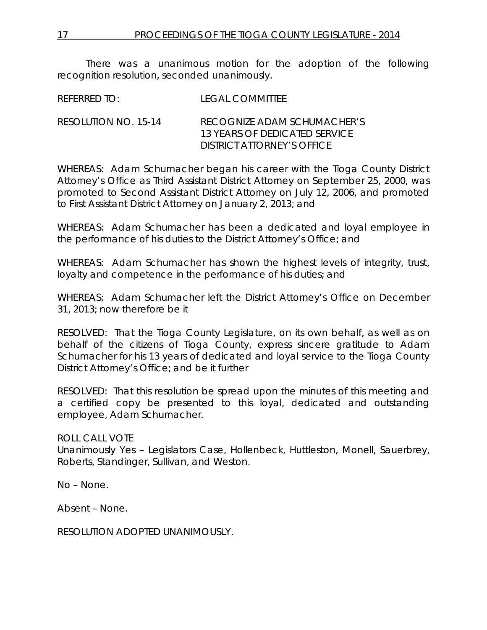There was a unanimous motion for the adoption of the following recognition resolution, seconded unanimously.

REFERRED TO: LEGAL COMMITTEE

RESOLUTION NO. 15-14 *RECOGNIZE ADAM SCHUMACHER'S 13 YEARS OF DEDICATED SERVICE DISTRICT ATTORNEY'S OFFICE*

WHEREAS: Adam Schumacher began his career with the Tioga County District Attorney's Office as Third Assistant District Attorney on September 25, 2000, was promoted to Second Assistant District Attorney on July 12, 2006, and promoted to First Assistant District Attorney on January 2, 2013; and

WHEREAS: Adam Schumacher has been a dedicated and loyal employee in the performance of his duties to the District Attorney's Office; and

WHEREAS: Adam Schumacher has shown the highest levels of integrity, trust, loyalty and competence in the performance of his duties; and

WHEREAS: Adam Schumacher left the District Attorney's Office on December 31, 2013; now therefore be it

RESOLVED:That the Tioga County Legislature, on its own behalf, as well as on behalf of the citizens of Tioga County, express sincere gratitude to Adam Schumacher for his 13 years of dedicated and loyal service to the Tioga County District Attorney's Office; and be it further

RESOLVED: That this resolution be spread upon the minutes of this meeting and a certified copy be presented to this loyal, dedicated and outstanding employee, Adam Schumacher.

ROLL CALL VOTE Unanimously Yes – Legislators Case, Hollenbeck, Huttleston, Monell, Sauerbrey, Roberts, Standinger, Sullivan, and Weston.

No – None.

Absent – None.

RESOLUTION ADOPTED UNANIMOUSLY.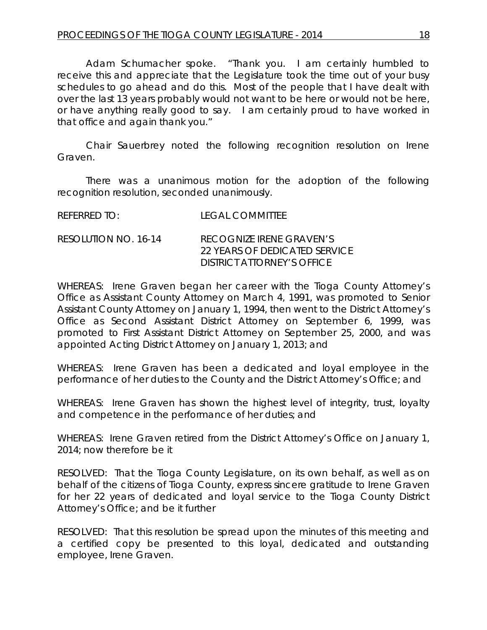Adam Schumacher spoke. "Thank you. I am certainly humbled to receive this and appreciate that the Legislature took the time out of your busy schedules to go ahead and do this. Most of the people that I have dealt with over the last 13 years probably would not want to be here or would not be here, or have anything really good to say. I am certainly proud to have worked in that office and again thank you."

Chair Sauerbrey noted the following recognition resolution on Irene Graven.

There was a unanimous motion for the adoption of the following recognition resolution, seconded unanimously.

| REFERRED TO:         | <b>LEGAL COMMITTEE</b>                                                                  |
|----------------------|-----------------------------------------------------------------------------------------|
| RESOLUTION NO. 16-14 | RECOGNIZE IRENE GRAVEN'S<br>22 YEARS OF DEDICATED SERVICE<br>DISTRICT ATTORNEY'S OFFICE |

WHEREAS: Irene Graven began her career with the Tioga County Attorney's Office as Assistant County Attorney on March 4, 1991, was promoted to Senior Assistant County Attorney on January 1, 1994, then went to the District Attorney's Office as Second Assistant District Attorney on September 6, 1999, was promoted to First Assistant District Attorney on September 25, 2000, and was appointed Acting District Attorney on January 1, 2013; and

WHEREAS: Irene Graven has been a dedicated and loyal employee in the performance of her duties to the County and the District Attorney's Office; and

WHEREAS: Irene Graven has shown the highest level of integrity, trust, loyalty and competence in the performance of her duties; and

WHEREAS: Irene Graven retired from the District Attorney's Office on January 1, 2014; now therefore be it

RESOLVED:That the Tioga County Legislature, on its own behalf, as well as on behalf of the citizens of Tioga County, express sincere gratitude to Irene Graven for her 22 years of dedicated and loyal service to the Tioga County District Attorney's Office; and be it further

RESOLVED: That this resolution be spread upon the minutes of this meeting and a certified copy be presented to this loyal, dedicated and outstanding employee, Irene Graven.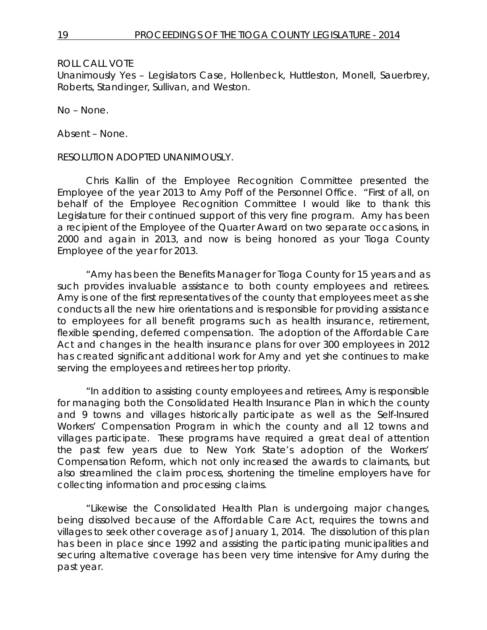Unanimously Yes – Legislators Case, Hollenbeck, Huttleston, Monell, Sauerbrey, Roberts, Standinger, Sullivan, and Weston.

No – None.

Absent – None.

RESOLUTION ADOPTED UNANIMOUSLY.

Chris Kallin of the Employee Recognition Committee presented the Employee of the year 2013 to Amy Poff of the Personnel Office. "First of all, on behalf of the Employee Recognition Committee I would like to thank this Legislature for their continued support of this very fine program. Amy has been a recipient of the Employee of the Quarter Award on two separate occasions, in 2000 and again in 2013, and now is being honored as your Tioga County Employee of the year for 2013.

"Amy has been the Benefits Manager for Tioga County for 15 years and as such provides invaluable assistance to both county employees and retirees. Amy is one of the first representatives of the county that employees meet as she conducts all the new hire orientations and is responsible for providing assistance to employees for all benefit programs such as health insurance, retirement, flexible spending, deferred compensation. The adoption of the Affordable Care Act and changes in the health insurance plans for over 300 employees in 2012 has created significant additional work for Amy and yet she continues to make serving the employees and retirees her top priority.

"In addition to assisting county employees and retirees, Amy is responsible for managing both the Consolidated Health Insurance Plan in which the county and 9 towns and villages historically participate as well as the Self-Insured Workers' Compensation Program in which the county and all 12 towns and villages participate. These programs have required a great deal of attention the past few years due to New York State's adoption of the Workers' Compensation Reform, which not only increased the awards to claimants, but also streamlined the claim process, shortening the timeline employers have for collecting information and processing claims.

"Likewise the Consolidated Health Plan is undergoing major changes, being dissolved because of the Affordable Care Act, requires the towns and villages to seek other coverage as of January 1, 2014. The dissolution of this plan has been in place since 1992 and assisting the participating municipalities and securing alternative coverage has been very time intensive for Amy during the past year.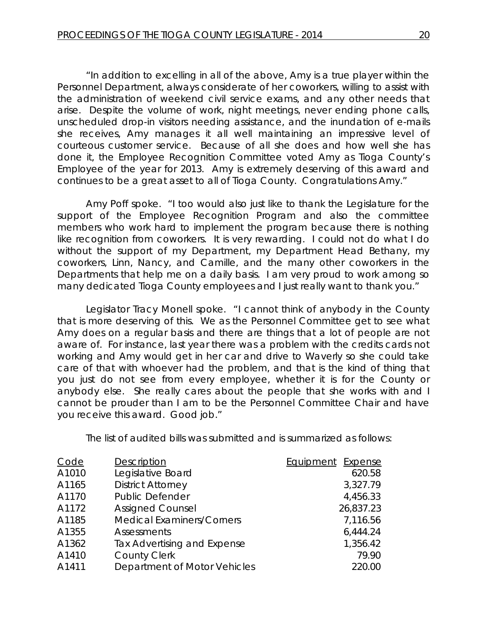"In addition to excelling in all of the above, Amy is a true player within the Personnel Department, always considerate of her coworkers, willing to assist with the administration of weekend civil service exams, and any other needs that arise. Despite the volume of work, night meetings, never ending phone calls, unscheduled drop-in visitors needing assistance, and the inundation of e-mails she receives, Amy manages it all well maintaining an impressive level of courteous customer service. Because of all she does and how well she has done it, the Employee Recognition Committee voted Amy as Tioga County's Employee of the year for 2013. Amy is extremely deserving of this award and continues to be a great asset to all of Tioga County. Congratulations Amy."

Amy Poff spoke. "I too would also just like to thank the Legislature for the support of the Employee Recognition Program and also the committee members who work hard to implement the program because there is nothing like recognition from coworkers. It is very rewarding. I could not do what I do without the support of my Department, my Department Head Bethany, my coworkers, Linn, Nancy, and Camille, and the many other coworkers in the Departments that help me on a daily basis. I am very proud to work among so many dedicated Tioga County employees and I just really want to thank you."

Legislator Tracy Monell spoke. "I cannot think of anybody in the County that is more deserving of this. We as the Personnel Committee get to see what Amy does on a regular basis and there are things that a lot of people are not aware of. For instance, last year there was a problem with the credits cards not working and Amy would get in her car and drive to Waverly so she could take care of that with whoever had the problem, and that is the kind of thing that you just do not see from every employee, whether it is for the County or anybody else. She really cares about the people that she works with and I cannot be prouder than I am to be the Personnel Committee Chair and have you receive this award. Good job."

The list of audited bills was submitted and is summarized as follows:

| Code  | Description                      | Equipment Expense |
|-------|----------------------------------|-------------------|
| A1010 | Legislative Board                | 620.58            |
| A1165 | <b>District Attorney</b>         | 3,327.79          |
| A1170 | <b>Public Defender</b>           | 4,456.33          |
| A1172 | <b>Assigned Counsel</b>          | 26,837.23         |
| A1185 | <b>Medical Examiners/Corners</b> | 7,116.56          |
| A1355 | Assessments                      | 6,444.24          |
| A1362 | Tax Advertising and Expense      | 1,356.42          |
| A1410 | <b>County Clerk</b>              | 79.90             |
| A1411 | Department of Motor Vehicles     | 220.00            |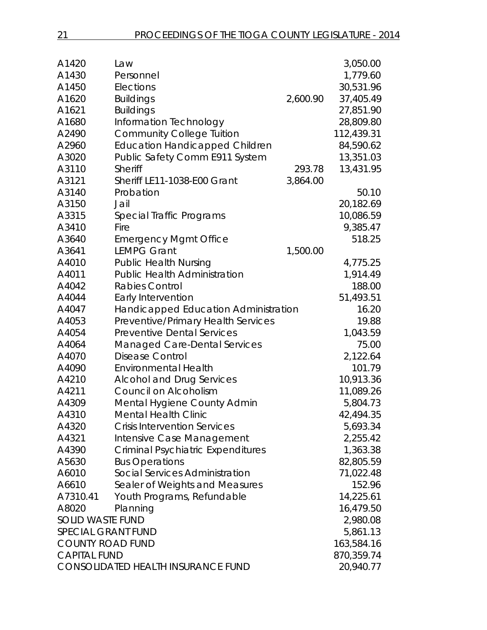| A1420                     | Law                                       |          | 3,050.00   |
|---------------------------|-------------------------------------------|----------|------------|
| A1430                     | Personnel                                 |          | 1,779.60   |
| A1450                     | Elections                                 |          | 30,531.96  |
| A1620                     | <b>Buildings</b>                          | 2,600.90 | 37,405.49  |
| A1621                     | <b>Buildings</b>                          |          | 27,851.90  |
| A1680                     | Information Technology                    |          | 28,809.80  |
| A2490                     | <b>Community College Tuition</b>          |          | 112,439.31 |
| A2960                     | <b>Education Handicapped Children</b>     |          | 84,590.62  |
| A3020                     | Public Safety Comm E911 System            |          | 13,351.03  |
| A3110                     | Sheriff                                   | 293.78   | 13,431.95  |
| A3121                     | Sheriff LE11-1038-E00 Grant               | 3,864.00 |            |
| A3140                     | Probation                                 |          | 50.10      |
| A3150                     | Jail                                      |          | 20,182.69  |
| A3315                     | Special Traffic Programs                  |          | 10,086.59  |
| A3410                     | Fire                                      |          | 9,385.47   |
| A3640                     | <b>Emergency Mgmt Office</b>              |          | 518.25     |
| A3641                     | <b>LEMPG Grant</b>                        | 1,500.00 |            |
| A4010                     | <b>Public Health Nursing</b>              |          | 4,775.25   |
| A4011                     | <b>Public Health Administration</b>       |          | 1,914.49   |
| A4042                     | <b>Rabies Control</b>                     |          | 188.00     |
| A4044                     | Early Intervention                        |          | 51,493.51  |
| A4047                     | Handicapped Education Administration      |          | 16.20      |
| A4053                     | Preventive/Primary Health Services        |          | 19.88      |
| A4054                     | <b>Preventive Dental Services</b>         |          | 1,043.59   |
| A4064                     | Managed Care-Dental Services              |          | 75.00      |
| A4070                     | <b>Disease Control</b>                    |          | 2,122.64   |
| A4090                     | <b>Environmental Health</b>               |          | 101.79     |
| A4210                     | <b>Alcohol and Drug Services</b>          |          | 10,913.36  |
| A4211                     | Council on Alcoholism                     |          | 11,089.26  |
| A4309                     | Mental Hygiene County Admin               |          | 5,804.73   |
| A4310                     | Mental Health Clinic                      |          | 42,494.35  |
| A4320                     | <b>Crisis Intervention Services</b>       |          | 5,693.34   |
| A4321                     | Intensive Case Management                 |          | 2,255.42   |
| A4390                     | <b>Criminal Psychiatric Expenditures</b>  |          | 1,363.38   |
| A5630                     | <b>Bus Operations</b>                     |          | 82,805.59  |
| A6010                     | Social Services Administration            |          | 71,022.48  |
| A6610                     | Sealer of Weights and Measures            |          | 152.96     |
| A7310.41                  | Youth Programs, Refundable                |          | 14,225.61  |
| A8020                     | Planning                                  |          | 16,479.50  |
| <b>SOLID WASTE FUND</b>   |                                           |          | 2,980.08   |
| <b>SPECIAL GRANT FUND</b> |                                           |          | 5,861.13   |
| <b>COUNTY ROAD FUND</b>   |                                           |          | 163,584.16 |
| <b>CAPITAL FUND</b>       |                                           |          | 870,359.74 |
|                           | <b>CONSOLIDATED HEALTH INSURANCE FUND</b> |          | 20,940.77  |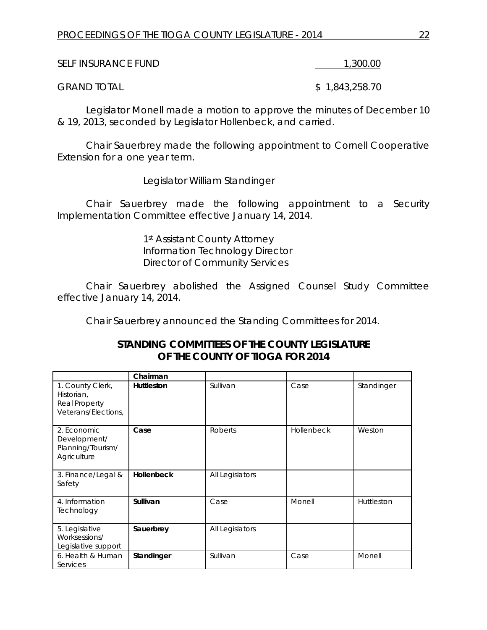| <b>SELF INSURANCE FUND</b> | 1,300.00 |
|----------------------------|----------|
|                            |          |

GRAND TOTAL \$ 1,843,258.70

Legislator Monell made a motion to approve the minutes of December 10 & 19, 2013, seconded by Legislator Hollenbeck, and carried.

Chair Sauerbrey made the following appointment to Cornell Cooperative Extension for a one year term.

Legislator William Standinger

Chair Sauerbrey made the following appointment to a Security Implementation Committee effective January 14, 2014.

> 1st Assistant County Attorney Information Technology Director Director of Community Services

Chair Sauerbrey abolished the Assigned Counsel Study Committee effective January 14, 2014.

Chair Sauerbrey announced the Standing Committees for 2014.

| STANDING COMMITTEES OF THE COUNTY LEGISLATURE |
|-----------------------------------------------|
| OF THE COUNTY OF TIOGA FOR 2014               |

|                                                                        | Chairman          |                 |            |            |
|------------------------------------------------------------------------|-------------------|-----------------|------------|------------|
| 1. County Clerk,<br>Historian,<br>Real Property<br>Veterans/Elections, | <b>Huttleston</b> | Sullivan        | Case       | Standinger |
| 2. Economic<br>Development/<br>Planning/Tourism/<br>Agriculture        | Case              | <b>Roberts</b>  | Hollenbeck | Weston     |
| 3. Finance/Legal &<br>Safety                                           | Hollenbeck        | All Legislators |            |            |
| 4. Information<br>Technology                                           | Sullivan          | Case            | Monell     | Huttleston |
| 5. Legislative<br>Worksessions/<br>Legislative support                 | Sauerbrey         | All Legislators |            |            |
| 6. Health & Human<br>Services                                          | Standinger        | Sullivan        | Case       | Monell     |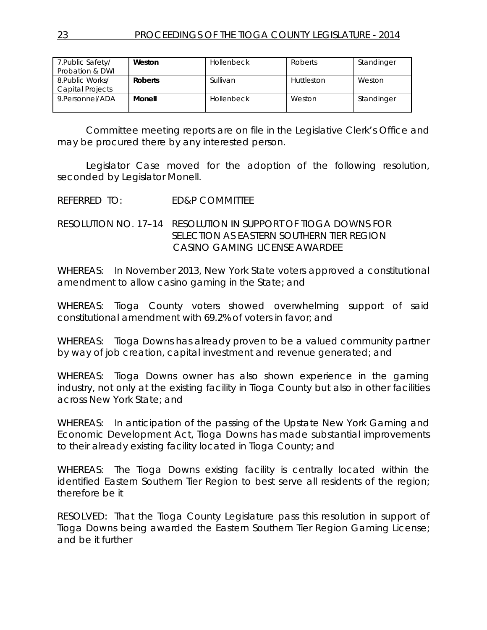| 7. Public Safety/<br>Probation & DWI | Weston         | <b>Hollenbeck</b> | Roberts    | Standinger |
|--------------------------------------|----------------|-------------------|------------|------------|
| 8. Public Works/<br>Capital Projects | <b>Roberts</b> | Sullivan          | Huttleston | Weston     |
| 9. Personnel/ADA                     | Monell         | <b>Hollenbeck</b> | Weston     | Standinger |

Committee meeting reports are on file in the Legislative Clerk's Office and may be procured there by any interested person.

Legislator Case moved for the adoption of the following resolution, seconded by Legislator Monell.

REFERRED TO: ED&P COMMITTEE

RESOLUTION NO. 17–14 *RESOLUTION IN SUPPORT OF TIOGA DOWNS FOR SELECTION AS EASTERN SOUTHERN TIER REGION CASINO GAMING LICENSE AWARDEE*

WHEREAS: In November 2013, New York State voters approved a constitutional amendment to allow casino gaming in the State; and

WHEREAS: Tioga County voters showed overwhelming support of said constitutional amendment with 69.2% of voters in favor; and

WHEREAS: Tioga Downs has already proven to be a valued community partner by way of job creation, capital investment and revenue generated; and

WHEREAS: Tioga Downs owner has also shown experience in the gaming industry, not only at the existing facility in Tioga County but also in other facilities across New York State; and

WHEREAS: In anticipation of the passing of the Upstate New York Gaming and Economic Development Act, Tioga Downs has made substantial improvements to their already existing facility located in Tioga County; and

WHEREAS: The Tioga Downs existing facility is centrally located within the identified Eastern Southern Tier Region to best serve all residents of the region; therefore be it

RESOLVED: That the Tioga County Legislature pass this resolution in support of Tioga Downs being awarded the Eastern Southern Tier Region Gaming License; and be it further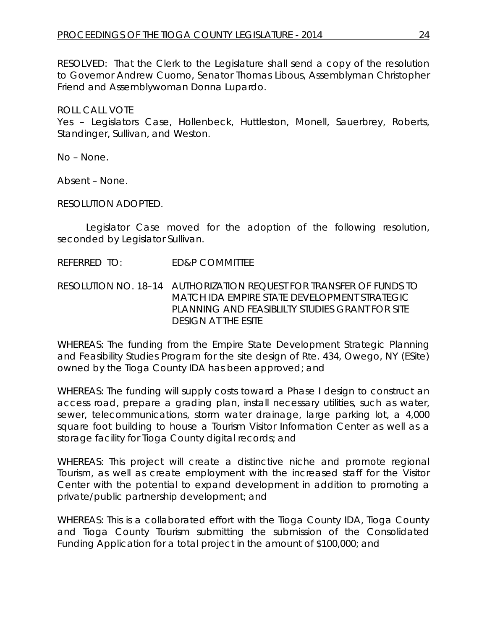RESOLVED: That the Clerk to the Legislature shall send a copy of the resolution to Governor Andrew Cuomo, Senator Thomas Libous, Assemblyman Christopher Friend and Assemblywoman Donna Lupardo.

ROLL CALL VOTE Yes – Legislators Case, Hollenbeck, Huttleston, Monell, Sauerbrey, Roberts, Standinger, Sullivan, and Weston.

No – None.

Absent – None.

RESOLUTION ADOPTED.

Legislator Case moved for the adoption of the following resolution, seconded by Legislator Sullivan.

REFERRED TO: ED&P COMMITTEE

RESOLUTION NO. 18–14 *AUTHORIZATION REQUEST FOR TRANSFER OF FUNDS TO MATCH IDA EMPIRE STATE DEVELOPMENT STRATEGIC PLANNING AND FEASIBLILTY STUDIES GRANT FOR SITE DESIGN AT THE ESITE*

WHEREAS: The funding from the Empire State Development Strategic Planning and Feasibility Studies Program for the site design of Rte. 434, Owego, NY (ESite) owned by the Tioga County IDA has been approved; and

WHEREAS: The funding will supply costs toward a Phase I design to construct an access road, prepare a grading plan, install necessary utilities, such as water, sewer, telecommunications, storm water drainage, large parking lot, a 4,000 square foot building to house a Tourism Visitor Information Center as well as a storage facility for Tioga County digital records; and

WHEREAS: This project will create a distinctive niche and promote regional Tourism, as well as create employment with the increased staff for the Visitor Center with the potential to expand development in addition to promoting a private/public partnership development; and

WHEREAS: This is a collaborated effort with the Tioga County IDA, Tioga County and Tioga County Tourism submitting the submission of the Consolidated Funding Application for a total project in the amount of \$100,000; and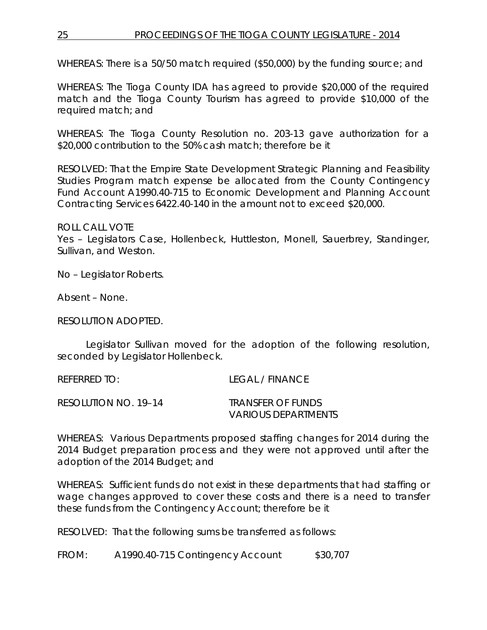## 25 PROCEEDINGS OF THE TIOGA COUNTY LEGISLATURE - 2014

WHEREAS: There is a 50/50 match required (\$50,000) by the funding source; and

WHEREAS: The Tioga County IDA has agreed to provide \$20,000 of the required match and the Tioga County Tourism has agreed to provide \$10,000 of the required match; and

WHEREAS: The Tioga County Resolution no. 203-13 gave authorization for a \$20,000 contribution to the 50% cash match; therefore be it

RESOLVED: That the Empire State Development Strategic Planning and Feasibility Studies Program match expense be allocated from the County Contingency Fund Account A1990.40-715 to Economic Development and Planning Account Contracting Services 6422.40-140 in the amount not to exceed \$20,000.

ROLL CALL VOTE Yes – Legislators Case, Hollenbeck, Huttleston, Monell, Sauerbrey, Standinger, Sullivan, and Weston.

No – Legislator Roberts.

Absent – None.

RESOLUTION ADOPTED.

Legislator Sullivan moved for the adoption of the following resolution, seconded by Legislator Hollenbeck.

| REFERRED TO:         | <b>LEGAL / FINANCE</b> |
|----------------------|------------------------|
| RESOLUTION NO. 19–14 | TRANSFER OF FUNDS      |
|                      | VARIOUS DEPARTMENTS    |

WHEREAS: Various Departments proposed staffing changes for 2014 during the 2014 Budget preparation process and they were not approved until after the adoption of the 2014 Budget; and

WHEREAS: Sufficient funds do not exist in these departments that had staffing or wage changes approved to cover these costs and there is a need to transfer these funds from the Contingency Account; therefore be it

RESOLVED: That the following sums be transferred as follows:

FROM: A1990.40-715 Contingency Account \$30,707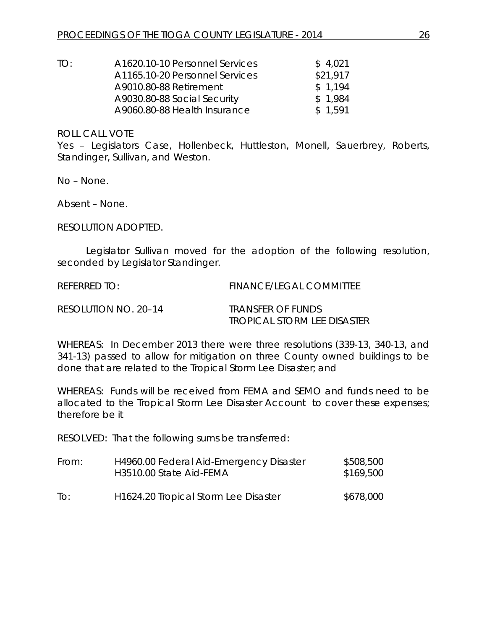| A1620.10-10 Personnel Services | \$4,021  |
|--------------------------------|----------|
| A1165.10-20 Personnel Services | \$21,917 |
| A9010.80-88 Retirement         | \$1.194  |
| A9030.80-88 Social Security    | \$1.984  |
| A9060.80-88 Health Insurance   | \$1.591  |
|                                |          |

Yes – Legislators Case, Hollenbeck, Huttleston, Monell, Sauerbrey, Roberts, Standinger, Sullivan, and Weston.

No – None.

Absent – None.

RESOLUTION ADOPTED.

Legislator Sullivan moved for the adoption of the following resolution, seconded by Legislator Standinger.

REFERRED TO: FINANCE/LEGAL COMMITTEE

RESOLUTION NO. 20–14 *TRANSFER OF FUNDS*

*TROPICAL STORM LEE DISASTER*

WHEREAS: In December 2013 there were three resolutions (339-13, 340-13, and 341-13) passed to allow for mitigation on three County owned buildings to be done that are related to the Tropical Storm Lee Disaster; and

WHEREAS: Funds will be received from FEMA and SEMO and funds need to be allocated to the Tropical Storm Lee Disaster Account to cover these expenses; therefore be it

RESOLVED: That the following sums be transferred:

| From: | H4960.00 Federal Aid-Emergency Disaster<br>H3510.00 State Aid-FEMA | \$508,500<br>\$169,500 |
|-------|--------------------------------------------------------------------|------------------------|
| To:   | H <sub>1624</sub> .20 Tropical Storm Lee Disaster                  | \$678,000              |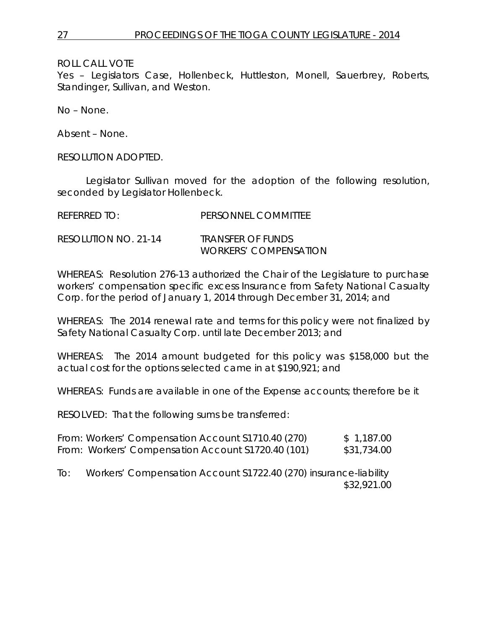Yes – Legislators Case, Hollenbeck, Huttleston, Monell, Sauerbrey, Roberts, Standinger, Sullivan, and Weston.

No – None.

Absent – None.

RESOLUTION ADOPTED.

Legislator Sullivan moved for the adoption of the following resolution, seconded by Legislator Hollenbeck.

| REFERRED TO:         | PERSONNEL COMMITTEE                               |
|----------------------|---------------------------------------------------|
| RESOLUTION NO. 21-14 | TRANSFER OF FUNDS<br><i>WORKERS' COMPENSATION</i> |

WHEREAS: Resolution 276-13 authorized the Chair of the Legislature to purchase workers' compensation specific excess Insurance from Safety National Casualty Corp. for the period of January 1, 2014 through December 31, 2014; and

WHEREAS: The 2014 renewal rate and terms for this policy were not finalized by Safety National Casualty Corp. until late December 2013; and

WHEREAS: The 2014 amount budgeted for this policy was \$158,000 but the actual cost for the options selected came in at \$190,921; and

WHEREAS: Funds are available in one of the Expense accounts; therefore be it

RESOLVED: That the following sums be transferred:

|  | From: Workers' Compensation Account \$1710.40 (270) | \$1,187.00  |
|--|-----------------------------------------------------|-------------|
|  | From: Workers' Compensation Account \$1720.40 (101) | \$31,734.00 |

To: Workers' Compensation Account S1722.40 (270) insurance-liability \$32,921.00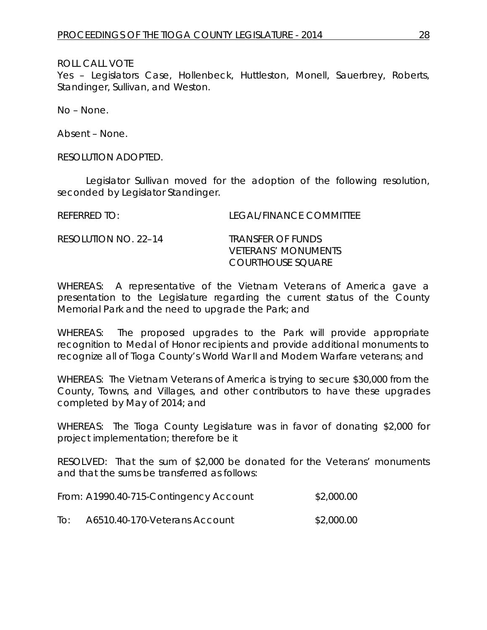Yes – Legislators Case, Hollenbeck, Huttleston, Monell, Sauerbrey, Roberts, Standinger, Sullivan, and Weston.

No – None.

Absent – None.

RESOLUTION ADOPTED.

Legislator Sullivan moved for the adoption of the following resolution, seconded by Legislator Standinger.

REFERRED TO: LEGAL/FINANCE COMMITTEE RESOLUTION NO. 22–14 *TRANSFER OF FUNDS VETERANS' MONUMENTS*

WHEREAS: A representative of the Vietnam Veterans of America gave a presentation to the Legislature regarding the current status of the County Memorial Park and the need to upgrade the Park; and

*COURTHOUSE SQUARE*

WHEREAS: The proposed upgrades to the Park will provide appropriate recognition to Medal of Honor recipients and provide additional monuments to recognize all of Tioga County's World War II and Modern Warfare veterans; and

WHEREAS: The Vietnam Veterans of America is trying to secure \$30,000 from the County, Towns, and Villages, and other contributors to have these upgrades completed by May of 2014; and

WHEREAS: The Tioga County Legislature was in favor of donating \$2,000 for project implementation; therefore be it

RESOLVED: That the sum of \$2,000 be donated for the Veterans' monuments and that the sums be transferred as follows:

|     | From: A1990.40-715-Contingency Account | \$2,000.00 |
|-----|----------------------------------------|------------|
| IO: | A6510.40-170-Veterans Account          | \$2,000.00 |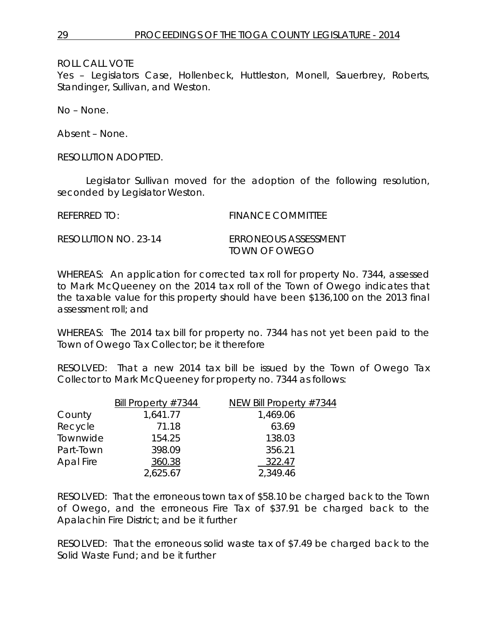Yes – Legislators Case, Hollenbeck, Huttleston, Monell, Sauerbrey, Roberts, Standinger, Sullivan, and Weston.

No – None.

Absent – None.

RESOLUTION ADOPTED.

Legislator Sullivan moved for the adoption of the following resolution, seconded by Legislator Weston.

| REFERRED TO: | <b>FINANCE COMMITTEE</b> |
|--------------|--------------------------|
|              |                          |

RESOLUTION NO. 23-14 *ERRONEOUS ASSESSMENT TOWN OF OWEGO*

WHEREAS: An application for corrected tax roll for property No. 7344, assessed to Mark McQueeney on the 2014 tax roll of the Town of Owego indicates that the taxable value for this property should have been \$136,100 on the 2013 final assessment roll; and

WHEREAS: The 2014 tax bill for property no. 7344 has not yet been paid to the Town of Owego Tax Collector; be it therefore

RESOLVED: That a new 2014 tax bill be issued by the Town of Owego Tax Collector to Mark McQueeney for property no. 7344 as follows:

|           | Bill Property $#7344$ | NEW Bill Property #7344 |
|-----------|-----------------------|-------------------------|
| County    | 1,641.77              | 1,469.06                |
| Recycle   | 71.18                 | 63.69                   |
| Townwide  | 154.25                | 138.03                  |
| Part-Town | 398.09                | 356.21                  |
| Apal Fire | 360.38                | 322.47                  |
|           | 2,625.67              | 2,349.46                |

RESOLVED: That the erroneous town tax of \$58.10 be charged back to the Town of Owego, and the erroneous Fire Tax of \$37.91 be charged back to the Apalachin Fire District; and be it further

RESOLVED: That the erroneous solid waste tax of \$7.49 be charged back to the Solid Waste Fund; and be it further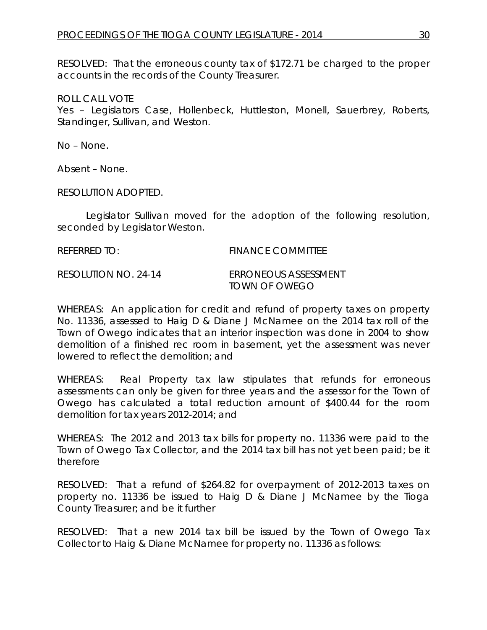RESOLVED: That the erroneous county tax of \$172.71 be charged to the proper accounts in the records of the County Treasurer.

ROLL CALL VOTE

Yes – Legislators Case, Hollenbeck, Huttleston, Monell, Sauerbrey, Roberts, Standinger, Sullivan, and Weston.

No – None.

Absent – None.

RESOLUTION ADOPTED.

Legislator Sullivan moved for the adoption of the following resolution, seconded by Legislator Weston.

| REFERRED TO:         | <b>FINANCE COMMITTEE</b>              |
|----------------------|---------------------------------------|
| RESOLUTION NO. 24-14 | FRRONEOUS ASSESSMENT<br>TOWN OF OWEGO |

WHEREAS: An application for credit and refund of property taxes on property No. 11336, assessed to Haig D & Diane J McNamee on the 2014 tax roll of the Town of Owego indicates that an interior inspection was done in 2004 to show demolition of a finished rec room in basement, yet the assessment was never lowered to reflect the demolition; and

WHEREAS: Real Property tax law stipulates that refunds for erroneous assessments can only be given for three years and the assessor for the Town of Owego has calculated a total reduction amount of \$400.44 for the room demolition for tax years 2012-2014; and

WHEREAS: The 2012 and 2013 tax bills for property no. 11336 were paid to the Town of Owego Tax Collector, and the 2014 tax bill has not yet been paid; be it therefore

RESOLVED: That a refund of \$264.82 for overpayment of 2012-2013 taxes on property no. 11336 be issued to Haig D & Diane J McNamee by the Tioga County Treasurer; and be it further

RESOLVED: That a new 2014 tax bill be issued by the Town of Owego Tax Collector to Haig & Diane McNamee for property no. 11336 as follows: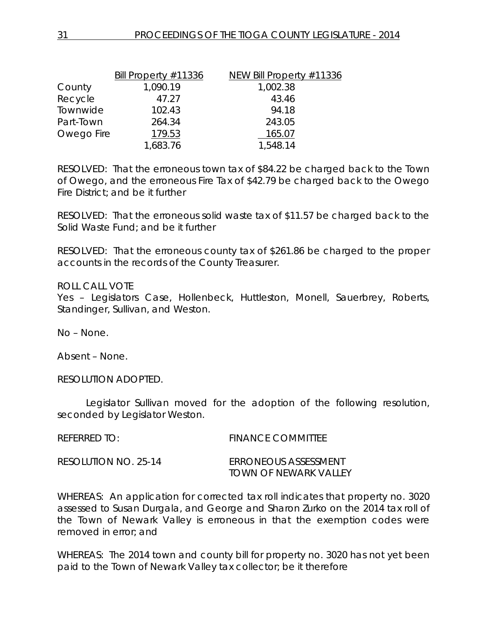| Bill Property #11336 | NEW Bill Property #11336 |
|----------------------|--------------------------|
| 1,090.19             | 1,002.38                 |
| 47.27                | 43.46                    |
| 102.43               | 94.18                    |
| 264.34               | 243.05                   |
| Owego Fire<br>179.53 | 165.07                   |
| 1,683.76             | 1,548.14                 |
|                      |                          |

RESOLVED: That the erroneous town tax of \$84.22 be charged back to the Town of Owego, and the erroneous Fire Tax of \$42.79 be charged back to the Owego Fire District; and be it further

RESOLVED: That the erroneous solid waste tax of \$11.57 be charged back to the Solid Waste Fund; and be it further

RESOLVED: That the erroneous county tax of \$261.86 be charged to the proper accounts in the records of the County Treasurer.

#### ROLL CALL VOTE

Yes - Legislators Case, Hollenbeck, Huttleston, Monell, Sauerbrey, Roberts, Standinger, Sullivan, and Weston.

No – None.

Absent – None.

RESOLUTION ADOPTED.

Legislator Sullivan moved for the adoption of the following resolution, seconded by Legislator Weston.

REFERRED TO: FINANCE COMMITTEE RESOLUTION NO. 25-14 *ERRONEOUS ASSESSMENT TOWN OF NEWARK VALLEY*

WHEREAS: An application for corrected tax roll indicates that property no. 3020 assessed to Susan Durgala, and George and Sharon Zurko on the 2014 tax roll of the Town of Newark Valley is erroneous in that the exemption codes were removed in error; and

WHEREAS: The 2014 town and county bill for property no. 3020 has not yet been paid to the Town of Newark Valley tax collector; be it therefore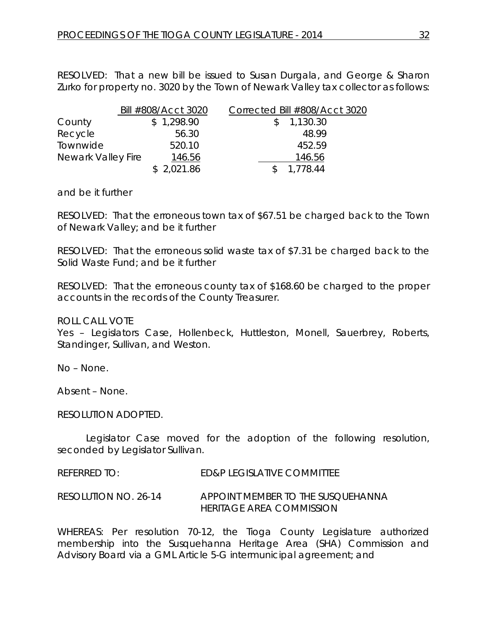RESOLVED: That a new bill be issued to Susan Durgala, and George & Sharon Zurko for property no. 3020 by the Town of Newark Valley tax collector as follows:

|                    | Bill #808/Acct 3020 | Corrected Bill #808/Acct 3020 |
|--------------------|---------------------|-------------------------------|
| County             | \$1,298.90          | 1,130.30                      |
| Recycle            | 56.30               | 48.99                         |
| Townwide           | 520.10              | 452.59                        |
| Newark Valley Fire | 146.56              | 146.56                        |
|                    | \$2,021.86          | 1,778.44                      |

and be it further

RESOLVED: That the erroneous town tax of \$67.51 be charged back to the Town of Newark Valley; and be it further

RESOLVED: That the erroneous solid waste tax of \$7.31 be charged back to the Solid Waste Fund; and be it further

RESOLVED: That the erroneous county tax of \$168.60 be charged to the proper accounts in the records of the County Treasurer.

ROLL CALL VOTE

Yes – Legislators Case, Hollenbeck, Huttleston, Monell, Sauerbrey, Roberts, Standinger, Sullivan, and Weston.

No – None.

Absent – None.

RESOLUTION ADOPTED.

Legislator Case moved for the adoption of the following resolution, seconded by Legislator Sullivan.

REFERRED TO: ED&P LEGISLATIVE COMMITTEE

RESOLUTION NO. 26-14 *APPOINT MEMBER TO THE SUSQUEHANNA HERITAGE AREA COMMISSION*

WHEREAS: Per resolution 70-12, the Tioga County Legislature authorized membership into the Susquehanna Heritage Area (SHA) Commission and Advisory Board via a GML Article 5-G intermunicipal agreement; and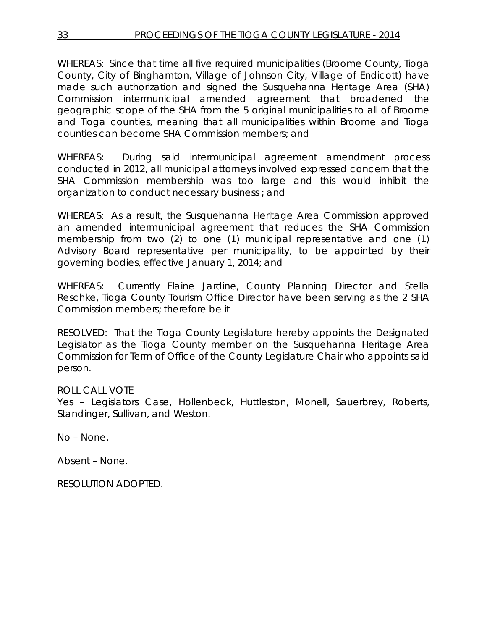WHEREAS: Since that time all five required municipalities (Broome County, Tioga County, City of Binghamton, Village of Johnson City, Village of Endicott) have made such authorization and signed the Susquehanna Heritage Area (SHA) Commission intermunicipal amended agreement that broadened the geographic scope of the SHA from the 5 original municipalities to all of Broome and Tioga counties, meaning that all municipalities within Broome and Tioga counties *can* become SHA Commission members; and

WHEREAS: During said intermunicipal agreement amendment process conducted in 2012, all municipal attorneys involved expressed concern that the SHA Commission membership was too large and this would inhibit the organization to conduct necessary business ; and

WHEREAS: As a result, the Susquehanna Heritage Area Commission approved an amended intermunicipal agreement that reduces the SHA Commission membership from two (2) to one (1) municipal representative and one (1) Advisory Board representative per municipality, to be appointed by their governing bodies, effective January 1, 2014; and

WHEREAS: Currently Elaine Jardine, County Planning Director and Stella Reschke, Tioga County Tourism Office Director have been serving as the 2 SHA Commission members; therefore be it

RESOLVED: That the Tioga County Legislature hereby appoints the Designated Legislator as the Tioga County member on the Susquehanna Heritage Area Commission for Term of Office of the County Legislature Chair who appoints said person.

## ROLL CALL VOTE

Yes – Legislators Case, Hollenbeck, Huttleston, Monell, Sauerbrey, Roberts, Standinger, Sullivan, and Weston.

No – None.

Absent – None.

RESOLUTION ADOPTED.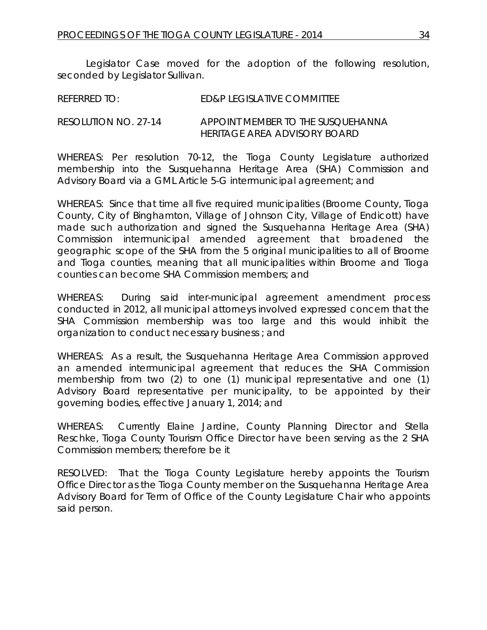Legislator Case moved for the adoption of the following resolution, seconded by Legislator Sullivan.

| <b>REFERRED TO:</b> | ED&P LEGISLATIVE COMMITTEE |
|---------------------|----------------------------|
|                     |                            |

#### RESOLUTION NO. 27-14 *APPOINT MEMBER TO THE SUSQUEHANNA HERITAGE AREA ADVISORY BOARD*

WHEREAS: Per resolution 70-12, the Tioga County Legislature authorized membership into the Susquehanna Heritage Area (SHA) Commission and Advisory Board via a GML Article 5-G intermunicipal agreement; and

WHEREAS: Since that time all five required municipalities (Broome County, Tioga County, City of Binghamton, Village of Johnson City, Village of Endicott) have made such authorization and signed the Susquehanna Heritage Area (SHA) Commission intermunicipal amended agreement that broadened the geographic scope of the SHA from the 5 original municipalities to all of Broome and Tioga counties, meaning that all municipalities within Broome and Tioga counties *can* become SHA Commission members; and

WHEREAS: During said inter-municipal agreement amendment process conducted in 2012, all municipal attorneys involved expressed concern that the SHA Commission membership was too large and this would inhibit the organization to conduct necessary business ; and

WHEREAS: As a result, the Susquehanna Heritage Area Commission approved an amended intermunicipal agreement that reduces the SHA Commission membership from two (2) to one (1) municipal representative and one (1) Advisory Board representative per municipality, to be appointed by their governing bodies, effective January 1, 2014; and

WHEREAS: Currently Elaine Jardine, County Planning Director and Stella Reschke, Tioga County Tourism Office Director have been serving as the 2 SHA Commission members; therefore be it

RESOLVED: That the Tioga County Legislature hereby appoints the Tourism Office Director as the Tioga County member on the Susquehanna Heritage Area Advisory Board for Term of Office of the County Legislature Chair who appoints said person.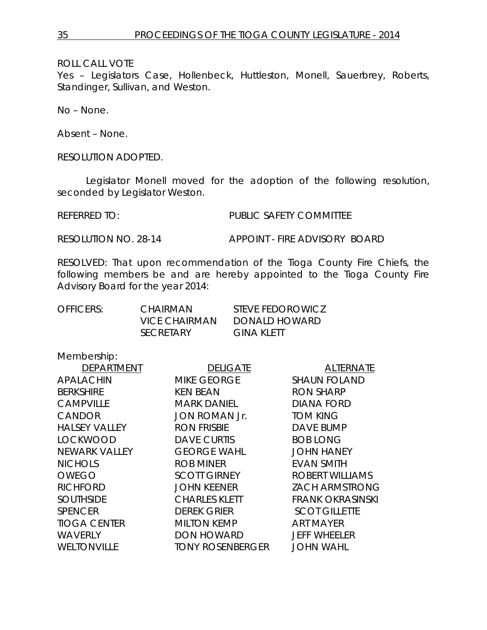Yes - Legislators Case, Hollenbeck, Huttleston, Monell, Sauerbrey, Roberts, Standinger, Sullivan, and Weston.

No – None.

Absent – None.

RESOLUTION ADOPTED.

Legislator Monell moved for the adoption of the following resolution, seconded by Legislator Weston.

REFERRED TO: PUBLIC SAFETY COMMITTEE

RESOLUTION NO. 28-14 *APPOINT - FIRE ADVISORY BOARD*

RESOLVED: That upon recommendation of the Tioga County Fire Chiefs, the following members be and are hereby appointed to the Tioga County Fire Advisory Board for the year 2014:

| OFFICERS: | CHAIRMAN         | STEVE FEDOROWICZ |
|-----------|------------------|------------------|
|           | VICE CHAIRMAN    | DONALD HOWARD    |
|           | <b>SECRETARY</b> | GINA KLETT       |

Membership:

| <b>DEPARTMENT</b>    | <b>DELIGATE</b>         | <b>ALTERNATE</b>        |
|----------------------|-------------------------|-------------------------|
| <b>APALACHIN</b>     | <b>MIKE GEORGE</b>      | <b>SHAUN FOLAND</b>     |
| <b>BERKSHIRE</b>     | <b>KEN BEAN</b>         | <b>RON SHARP</b>        |
| <b>CAMPVILLE</b>     | <b>MARK DANIEL</b>      | DIANA FORD              |
| <b>CANDOR</b>        | <b>JON ROMAN Jr.</b>    | <b>TOM KING</b>         |
| <b>HALSEY VALLEY</b> | <b>RON FRISBIE</b>      | DAVE BUMP               |
| <b>LOCKWOOD</b>      | <b>DAVE CURTIS</b>      | <b>BOB LONG</b>         |
| <b>NEWARK VALLEY</b> | <b>GEORGE WAHL</b>      | <b>JOHN HANEY</b>       |
| <b>NICHOLS</b>       | <b>ROB MINER</b>        | <b>EVAN SMITH</b>       |
| <b>OWEGO</b>         | <b>SCOTT GIRNEY</b>     | ROBERT WILLIAMS         |
| <b>RICHFORD</b>      | <b>JOHN KEENER</b>      | <b>ZACH ARMSTRONG</b>   |
| <b>SOUTHSIDE</b>     | <b>CHARLES KLETT</b>    | <b>FRANK OKRASINSKI</b> |
| <b>SPENCER</b>       | <b>DEREK GRIER</b>      | <b>SCOT GILLETTE</b>    |
| <b>TIOGA CENTER</b>  | <b>MILTON KEMP</b>      | ART MAYER               |
| <b>WAVERLY</b>       | <b>DON HOWARD</b>       | <b>JEFF WHEELER</b>     |
| <b>WELTONVILLE</b>   | <b>TONY ROSENBERGER</b> | <b>JOHN WAHL</b>        |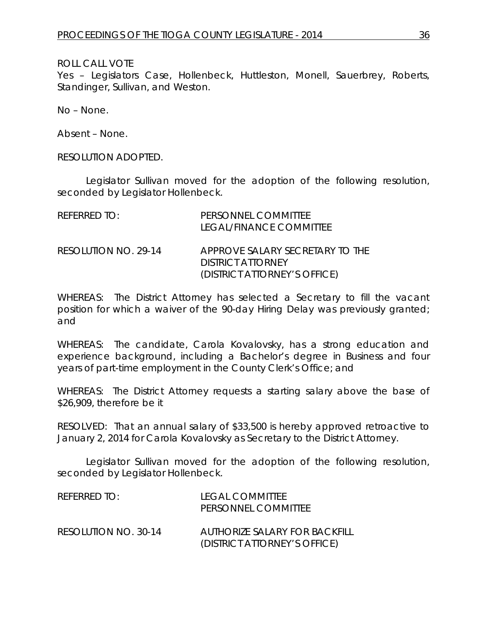Yes – Legislators Case, Hollenbeck, Huttleston, Monell, Sauerbrey, Roberts, Standinger, Sullivan, and Weston.

No – None.

Absent – None.

RESOLUTION ADOPTED.

Legislator Sullivan moved for the adoption of the following resolution, seconded by Legislator Hollenbeck.

| $R$ FFFRRFD TO:      | PERSONNEL COMMITTEE<br>LEGAL/FINANCE COMMITTEE                                              |
|----------------------|---------------------------------------------------------------------------------------------|
| RESOLUTION NO. 29-14 | APPROVE SALARY SECRETARY TO THE<br><b>DISTRICT ATTORNEY</b><br>(DISTRICT ATTORNEY'S OFFICE) |

WHEREAS: The District Attorney has selected a Secretary to fill the vacant position for which a waiver of the 90-day Hiring Delay was previously granted; and

WHEREAS: The candidate, Carola Kovalovsky, has a strong education and experience background, including a Bachelor's degree in Business and four years of part-time employment in the County Clerk's Office; and

WHEREAS: The District Attorney requests a starting salary above the base of \$26,909, therefore be it

RESOLVED: That an annual salary of \$33,500 is hereby approved retroactive to January 2, 2014 for Carola Kovalovsky as Secretary to the District Attorney.

Legislator Sullivan moved for the adoption of the following resolution, seconded by Legislator Hollenbeck.

| REFERRED TO:         | <b>LEGAL COMMITTEE</b><br>PERSONNEL COMMITTEE                 |
|----------------------|---------------------------------------------------------------|
| RESOLUTION NO. 30-14 | AUTHORIZE SALARY FOR BACKFILL<br>(DISTRICT ATTORNEY'S OFFICE) |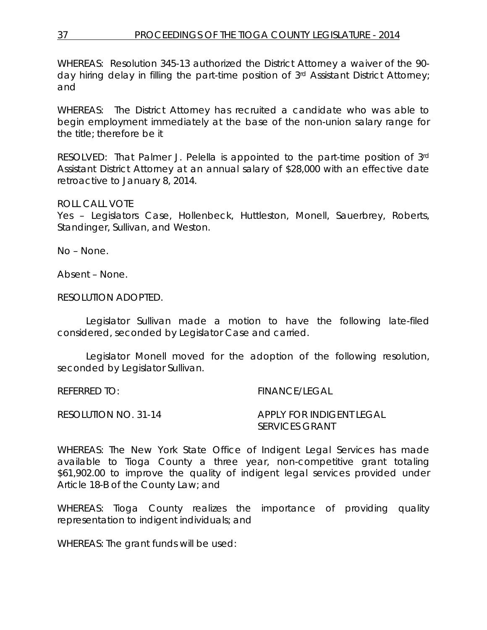WHEREAS: Resolution 345-13 authorized the District Attorney a waiver of the 90 day hiring delay in filling the part-time position of 3rd Assistant District Attorney; and

WHEREAS: The District Attorney has recruited a candidate who was able to begin employment immediately at the base of the non-union salary range for the title; therefore be it

RESOLVED: That Palmer J. Pelella is appointed to the part-time position of 3rd Assistant District Attorney at an annual salary of \$28,000 with an effective date retroactive to January 8, 2014.

#### ROLL CALL VOTE

Yes - Legislators Case, Hollenbeck, Huttleston, Monell, Sauerbrey, Roberts, Standinger, Sullivan, and Weston.

No – None.

Absent – None.

RESOLUTION ADOPTED.

Legislator Sullivan made a motion to have the following late-filed considered, seconded by Legislator Case and carried.

Legislator Monell moved for the adoption of the following resolution, seconded by Legislator Sullivan.

REFERRED TO: FINANCE/LEGAL

RESOLUTION NO. 31-14 *APPLY FOR INDIGENT LEGAL SERVICES GRANT*

WHEREAS: The New York State Office of Indigent Legal Services has made available to Tioga County a three year, non-competitive grant totaling \$61,902.00 to improve the quality of indigent legal services provided under Article 18-B of the County Law; and

WHEREAS: Tioga County realizes the importance of providing quality representation to indigent individuals; and

WHEREAS: The grant funds will be used: